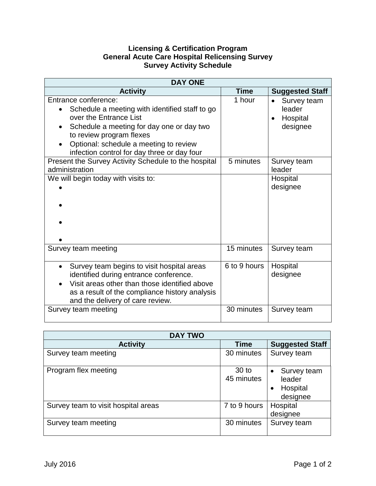## **Licensing & Certification Program General Acute Care Hospital Relicensing Survey Survey Activity Schedule**

| <b>DAY ONE</b>                                                                                                                                                                                                                                                                  |              |                                                            |  |  |
|---------------------------------------------------------------------------------------------------------------------------------------------------------------------------------------------------------------------------------------------------------------------------------|--------------|------------------------------------------------------------|--|--|
| <b>Activity</b>                                                                                                                                                                                                                                                                 | <b>Time</b>  | <b>Suggested Staff</b>                                     |  |  |
| Entrance conference:<br>Schedule a meeting with identified staff to go<br>$\bullet$<br>over the Entrance List<br>Schedule a meeting for day one or day two<br>to review program flexes<br>Optional: schedule a meeting to review<br>infection control for day three or day four | 1 hour       | Survey team<br>leader<br>Hospital<br>$\bullet$<br>designee |  |  |
| Present the Survey Activity Schedule to the hospital<br>administration                                                                                                                                                                                                          | 5 minutes    | Survey team<br>leader                                      |  |  |
| We will begin today with visits to:                                                                                                                                                                                                                                             |              | Hospital<br>designee                                       |  |  |
| Survey team meeting                                                                                                                                                                                                                                                             | 15 minutes   | Survey team                                                |  |  |
| Survey team begins to visit hospital areas<br>$\bullet$<br>identified during entrance conference.<br>Visit areas other than those identified above<br>as a result of the compliance history analysis<br>and the delivery of care review.                                        | 6 to 9 hours | Hospital<br>designee                                       |  |  |
| Survey team meeting                                                                                                                                                                                                                                                             | 30 minutes   | Survey team                                                |  |  |

| <b>DAY TWO</b>                      |                                |                                                                 |  |
|-------------------------------------|--------------------------------|-----------------------------------------------------------------|--|
| <b>Activity</b>                     | <b>Time</b>                    | <b>Suggested Staff</b>                                          |  |
| Survey team meeting                 | 30 minutes                     | Survey team                                                     |  |
| Program flex meeting                | 30 <sub>to</sub><br>45 minutes | Survey team<br>$\bullet$<br>leader<br>Hospital<br>٠<br>designee |  |
| Survey team to visit hospital areas | 7 to 9 hours                   | Hospital<br>designee                                            |  |
| Survey team meeting                 | 30 minutes                     | Survey team                                                     |  |